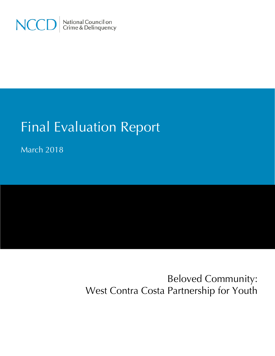

# Final Evaluation Report

March 2018

Beloved Community: West Contra Costa Partnership for Youth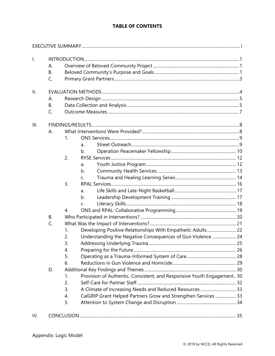# **TABLE OF CONTENTS**

| $\mathsf{L}$ |                |                      |                                                                        |  |  |  |  |
|--------------|----------------|----------------------|------------------------------------------------------------------------|--|--|--|--|
|              |                | А.                   |                                                                        |  |  |  |  |
|              | <b>B.</b>      |                      |                                                                        |  |  |  |  |
|              | $\mathsf{C}$ . |                      |                                                                        |  |  |  |  |
|              |                |                      |                                                                        |  |  |  |  |
| II.          |                |                      |                                                                        |  |  |  |  |
|              | Α.             |                      |                                                                        |  |  |  |  |
|              | <b>B.</b>      |                      |                                                                        |  |  |  |  |
|              | $\mathsf{C}$ . |                      |                                                                        |  |  |  |  |
| III.         |                |                      |                                                                        |  |  |  |  |
|              | Α.             |                      |                                                                        |  |  |  |  |
|              |                | 1.                   |                                                                        |  |  |  |  |
|              |                |                      | a.                                                                     |  |  |  |  |
|              |                |                      | b.                                                                     |  |  |  |  |
|              |                | 2.                   |                                                                        |  |  |  |  |
|              |                |                      | a.                                                                     |  |  |  |  |
|              |                |                      | b.                                                                     |  |  |  |  |
|              |                |                      | $C_{r}$                                                                |  |  |  |  |
|              |                | 3.                   |                                                                        |  |  |  |  |
|              |                |                      | a.                                                                     |  |  |  |  |
|              |                |                      | b.                                                                     |  |  |  |  |
|              |                |                      | $\mathsf{C}$ .                                                         |  |  |  |  |
|              |                | $\mathbf{A}_{\cdot}$ |                                                                        |  |  |  |  |
|              | <b>B.</b>      |                      |                                                                        |  |  |  |  |
|              | C.             |                      |                                                                        |  |  |  |  |
|              |                | 1.                   | Developing Positive Relationships With Empathetic Adults 22            |  |  |  |  |
|              |                | 2.                   | Understanding the Negative Consequences of Gun Violence  24            |  |  |  |  |
|              |                | 3.                   |                                                                        |  |  |  |  |
|              |                | 4.                   |                                                                        |  |  |  |  |
|              |                | 5.                   |                                                                        |  |  |  |  |
|              |                | 6.                   |                                                                        |  |  |  |  |
|              | D.             |                      |                                                                        |  |  |  |  |
|              |                | 1.                   | Provision of Authentic, Consistent, and Responsive Youth Engagement 30 |  |  |  |  |
|              |                | 2.                   |                                                                        |  |  |  |  |
|              |                | 3.                   | A Climate of Increasing Needs and Reduced Resources  33                |  |  |  |  |
|              |                | 4.                   | CalGRIP Grant Helped Partners Grow and Strengthen Services  33         |  |  |  |  |
|              |                | 5.                   |                                                                        |  |  |  |  |
|              |                |                      |                                                                        |  |  |  |  |
| IV.          |                |                      |                                                                        |  |  |  |  |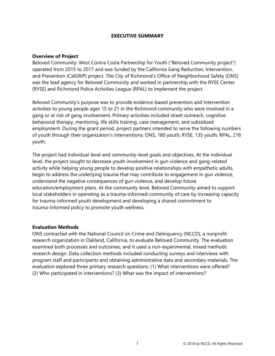# **EXECUTIVE SUMMARY**

#### <span id="page-2-0"></span>**Overview of Project**

Beloved Community: West Contra Costa Partnership for Youth ("Beloved Community project") operated from 2015 to 2017 and was funded by the California Gang Reduction, Intervention, and Prevention (CalGRIP) project. The City of Richmond's Office of Neighborhood Safety (ONS) was the lead agency for Beloved Community and worked in partnership with the RYSE Center (RYSE) and Richmond Police Activities League (RPAL) to implement the project.

Beloved Community's purpose was to provide evidence-based prevention and intervention activities to young people ages 15 to 21 in the Richmond community who were involved in a gang or at risk of gang involvement. Primary activities included street outreach, cognitive behavioral therapy, mentoring, life skills training, case management, and subsidized employment. During the grant period, project partners intended to serve the following numbers of youth through their organization's interventions: ONS, 180 youth; RYSE, 135 youth; RPAL, 218 youth.

The project had individual-level and community-level goals and objectives. At the individual level, the project sought to decrease youth involvement in gun violence and gang-related activity while helping young people to develop positive relationships with empathetic adults, begin to address the underlying trauma that may contribute to engagement in gun violence, understand the negative consequences of gun violence, and develop future education/employment plans. At the community level, Beloved Community aimed to support local stakeholders in operating as a trauma-informed community of care by increasing capacity for trauma-informed youth development and developing a shared commitment to trauma-informed policy to promote youth wellness.

# **Evaluation Methods**

ONS contracted with the National Council on Crime and Delinquency (NCCD), a nonprofit research organization in Oakland, California, to evaluate Beloved Community. The evaluation examined both processes and outcomes, and it used a non-experimental, mixed methods research design. Data collection methods included conducting surveys and interviews with program staff and participants and obtaining administrative data and secondary materials. The evaluation explored three primary research questions: (1) What interventions were offered? (2) Who participated in interventions? (3) What was the impact of interventions?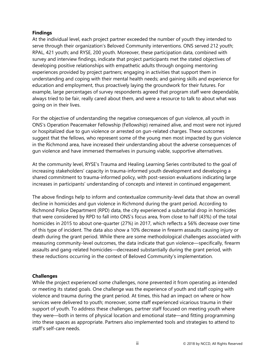# **Findings**

At the individual level, each project partner exceeded the number of youth they intended to serve through their organization's Beloved Community interventions. ONS served 212 youth; RPAL, 421 youth; and RYSE, 200 youth. Moreover, these participation data, combined with survey and interview findings, indicate that project participants met the stated objectives of developing positive relationships with empathetic adults through ongoing mentoring experiences provided by project partners; engaging in activities that support them in understanding and coping with their mental health needs; and gaining skills and experience for education and employment, thus proactively laying the groundwork for their futures. For example, large percentages of survey respondents agreed that program staff were dependable, always tried to be fair, really cared about them, and were a resource to talk to about what was going on in their lives.

For the objective of understanding the negative consequences of gun violence, all youth in ONS's Operation Peacemaker Fellowship (Fellowship) remained alive, and most were not injured or hospitalized due to gun violence or arrested on gun-related charges. These outcomes suggest that the fellows, who represent some of the young men most impacted by gun violence in the Richmond area, have increased their understanding about the adverse consequences of gun violence and have immersed themselves in pursuing viable, supportive alternatives.

At the community level, RYSE's Trauma and Healing Learning Series contributed to the goal of increasing stakeholders' capacity in trauma-informed youth development and developing a shared commitment to trauma-informed policy, with post-session evaluations indicating large increases in participants' understanding of concepts and interest in continued engagement.

The above findings help to inform and contextualize community-level data that show an overall decline in homicides and gun violence in Richmond during the grant period. According to Richmond Police Department (RPD) data, the city experienced a substantial drop in homicides that were considered by RPD to fall into ONS's focus area, from close to half (43%) of the total homicides in 2015 to about one-quarter (27%) in 2017, which reflects a 56% decrease over time of this type of incident. The data also show a 10% decrease in firearm assaults causing injury or death during the grant period. While there are some methodological challenges associated with measuring community-level outcomes, the data indicate that gun violence—specifically, firearm assaults and gang-related homicides—decreased substantially during the grant period, with these reductions occurring in the context of Beloved Community's implementation.

# **Challenges**

While the project experienced some challenges, none prevented it from operating as intended or meeting its stated goals. One challenge was the experience of youth and staff coping with violence and trauma during the grant period. At times, this had an impact on where or how services were delivered to youth; moreover, some staff experienced vicarious trauma in their support of youth. To address these challenges, partner staff focused on meeting youth where they were—both in terms of physical location and emotional state—and fitting programming into these spaces as appropriate. Partners also implemented tools and strategies to attend to staff's self-care needs.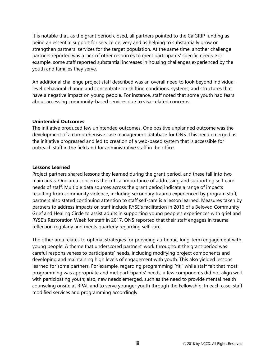It is notable that, as the grant period closed, all partners pointed to the CalGRIP funding as being an essential support for service delivery and as helping to substantially grow or strengthen partners' services for the target population. At the same time, another challenge partners reported was a lack of other resources to meet participants' specific needs. For example, some staff reported substantial increases in housing challenges experienced by the youth and families they serve.

An additional challenge project staff described was an overall need to look beyond individuallevel behavioral change and concentrate on shifting conditions, systems, and structures that have a negative impact on young people. For instance, staff noted that some youth had fears about accessing community-based services due to visa-related concerns.

## **Unintended Outcomes**

The initiative produced few unintended outcomes. One positive unplanned outcome was the development of a comprehensive case management database for ONS. This need emerged as the initiative progressed and led to creation of a web-based system that is accessible for outreach staff in the field and for administrative staff in the office.

## **Lessons Learned**

Project partners shared lessons they learned during the grant period, and these fall into two main areas. One area concerns the critical importance of addressing and supporting self-care needs of staff. Multiple data sources across the grant period indicate a range of impacts resulting from community violence, including secondary trauma experienced by program staff; partners also stated continuing attention to staff self-care is a lesson learned. Measures taken by partners to address impacts on staff include RYSE's facilitation in 2016 of a Beloved Community Grief and Healing Circle to assist adults in supporting young people's experiences with grief and RYSE's Restoration Week for staff in 2017. ONS reported that their staff engages in trauma reflection regularly and meets quarterly regarding self-care.

The other area relates to optimal strategies for providing authentic, long-term engagement with young people. A theme that underscored partners' work throughout the grant period was careful responsiveness to participants' needs, including modifying project components and developing and maintaining high levels of engagement with youth. This also yielded lessons learned for some partners. For example, regarding programming "fit," while staff felt that most programming was appropriate and met participants' needs, a few components did not align well with participating youth; also, new needs emerged, such as the need to provide mental health counseling onsite at RPAL and to serve younger youth through the Fellowship. In each case, staff modified services and programming accordingly.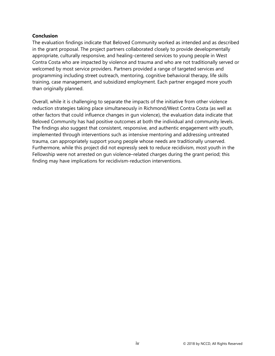# **Conclusion**

The evaluation findings indicate that Beloved Community worked as intended and as described in the grant proposal. The project partners collaborated closely to provide developmentally appropriate, culturally responsive, and healing-centered services to young people in West Contra Costa who are impacted by violence and trauma and who are not traditionally served or welcomed by most service providers. Partners provided a range of targeted services and programming including street outreach, mentoring, cognitive behavioral therapy, life skills training, case management, and subsidized employment. Each partner engaged more youth than originally planned.

Overall, while it is challenging to separate the impacts of the initiative from other violence reduction strategies taking place simultaneously in Richmond/West Contra Costa (as well as other factors that could influence changes in gun violence), the evaluation data indicate that Beloved Community has had positive outcomes at both the individual and community levels. The findings also suggest that consistent, responsive, and authentic engagement with youth, implemented through interventions such as intensive mentoring and addressing untreated trauma, can appropriately support young people whose needs are traditionally unserved. Furthermore, while this project did not expressly seek to reduce recidivism, most youth in the Fellowship were not arrested on gun violence–related charges during the grant period; this finding may have implications for recidivism-reduction interventions.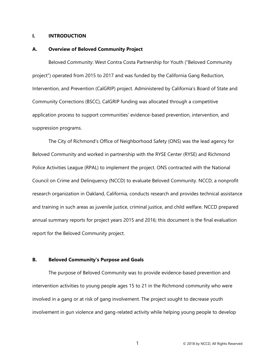#### <span id="page-6-0"></span>**I. INTRODUCTION**

#### <span id="page-6-1"></span>**A. Overview of Beloved Community Project**

Beloved Community: West Contra Costa Partnership for Youth ("Beloved Community project") operated from 2015 to 2017 and was funded by the California Gang Reduction, Intervention, and Prevention (CalGRIP) project. Administered by California's Board of State and Community Corrections (BSCC), CalGRIP funding was allocated through a competitive application process to support communities' evidence-based prevention, intervention, and suppression programs.

The City of Richmond's Office of Neighborhood Safety (ONS) was the lead agency for Beloved Community and worked in partnership with the RYSE Center (RYSE) and Richmond Police Activities League (RPAL) to implement the project. ONS contracted with the National Council on Crime and Delinquency (NCCD) to evaluate Beloved Community. NCCD, a nonprofit research organization in Oakland, California, conducts research and provides technical assistance and training in such areas as juvenile justice, criminal justice, and child welfare. NCCD prepared annual summary reports for project years 2015 and 2016; this document is the final evaluation report for the Beloved Community project.

# <span id="page-6-2"></span>**B. Beloved Community's Purpose and Goals**

The purpose of Beloved Community was to provide evidence-based prevention and intervention activities to young people ages 15 to 21 in the Richmond community who were involved in a gang or at risk of gang involvement. The project sought to decrease youth involvement in gun violence and gang-related activity while helping young people to develop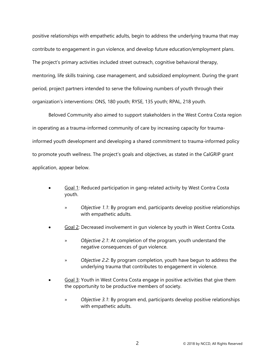positive relationships with empathetic adults, begin to address the underlying trauma that may contribute to engagement in gun violence, and develop future education/employment plans. The project's primary activities included street outreach, cognitive behavioral therapy, mentoring, life skills training, case management, and subsidized employment. During the grant period, project partners intended to serve the following numbers of youth through their organization's interventions: ONS, 180 youth; RYSE, 135 youth; RPAL, 218 youth.

Beloved Community also aimed to support stakeholders in the West Contra Costa region in operating as a trauma-informed community of care by increasing capacity for traumainformed youth development and developing a shared commitment to trauma-informed policy to promote youth wellness. The project's goals and objectives, as stated in the CalGRIP grant application, appear below.

- Goal 1: Reduced participation in gang-related activity by West Contra Costa youth.
	- » *Objective 1.1*: By program end, participants develop positive relationships with empathetic adults.
- Goal 2: Decreased involvement in gun violence by youth in West Contra Costa.
	- » *Objective 2.1*: At completion of the program, youth understand the negative consequences of gun violence.
	- » *Objective 2.2*: By program completion, youth have begun to address the underlying trauma that contributes to engagement in violence.
- Goal 3: Youth in West Contra Costa engage in positive activities that give them the opportunity to be productive members of society.
	- » *Objective 3.1*: By program end, participants develop positive relationships with empathetic adults.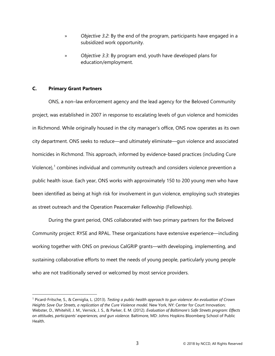- » *Objective 3.2*: By the end of the program, participants have engaged in a subsidized work opportunity.
- » *Objective 3.3*: By program end, youth have developed plans for education/employment.

## <span id="page-8-0"></span>**C. Primary Grant Partners**

 $\ddot{\phantom{a}}$ 

ONS, a non–law enforcement agency and the lead agency for the Beloved Community project, was established in 2007 in response to escalating levels of gun violence and homicides in Richmond. While originally housed in the city manager's office, ONS now operates as its own city department. ONS seeks to reduce—and ultimately eliminate—gun violence and associated homicides in Richmond. This approach, informed by evidence-based practices (including Cure Violence),<sup>[1](#page-8-1)</sup> combines individual and community outreach and considers violence prevention a public health issue. Each year, ONS works with approximately 150 to 200 young men who have been identified as being at high risk for involvement in gun violence, employing such strategies as street outreach and the Operation Peacemaker Fellowship (Fellowship).

During the grant period, ONS collaborated with two primary partners for the Beloved Community project: RYSE and RPAL. These organizations have extensive experience—including working together with ONS on previous CalGRIP grants—with developing, implementing, and sustaining collaborative efforts to meet the needs of young people, particularly young people who are not traditionally served or welcomed by most service providers.

<span id="page-8-1"></span><sup>1</sup> Picard-Fritsche, S., & Cerniglia, L. (2013). *Testing a public health approach to gun violence: An evaluation of Crown Heights Save Our Streets, a replication of the Cure Violence model. New York, NY: Center for Court Innovation;* Webster, D., Whitehill, J. M., Vernick, J. S., & Parker, E. M. (2012). *Evaluation of Baltimore's Safe Streets program: Effects on attitudes, participants' experiences, and gun violence.* Baltimore, MD: Johns Hopkins Bloomberg School of Public Health.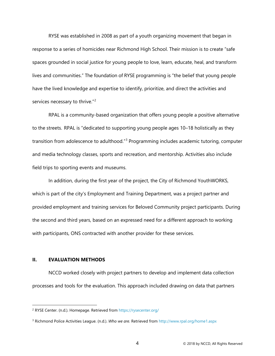RYSE was established in 2008 as part of a youth organizing movement that began in response to a series of homicides near Richmond High School. Their mission is to create "safe spaces grounded in social justice for young people to love, learn, educate, heal, and transform lives and communities." The foundation of RYSE programming is "the belief that young people have the lived knowledge and expertise to identify, prioritize, and direct the activities and services necessary to thrive."<sup>[2](#page-9-1)</sup>

RPAL is a community-based organization that offers young people a positive alternative to the streets. RPAL is "dedicated to supporting young people ages 10–18 holistically as they transition from adolescence to adulthood.<sup>"[3](#page-9-2)</sup> Programming includes academic tutoring, computer and media technology classes, sports and recreation, and mentorship. Activities also include field trips to sporting events and museums.

In addition, during the first year of the project, the City of Richmond YouthWORKS, which is part of the city's Employment and Training Department, was a project partner and provided employment and training services for Beloved Community project participants. During the second and third years, based on an expressed need for a different approach to working with participants, ONS contracted with another provider for these services.

# <span id="page-9-0"></span>**II. EVALUATION METHODS**

 $\overline{a}$ 

NCCD worked closely with project partners to develop and implement data collection processes and tools for the evaluation. This approach included drawing on data that partners

<span id="page-9-1"></span><sup>&</sup>lt;sup>2</sup> RYSE Center. (n.d.). Homepage. Retrieved from https://rysecenter.org/

<span id="page-9-2"></span><sup>3</sup> Richmond Police Activities League. (n.d.). *Who we are.* Retrieved fro[m http://www.rpal.org/home1.aspx](http://www.rpal.org/home1.aspx)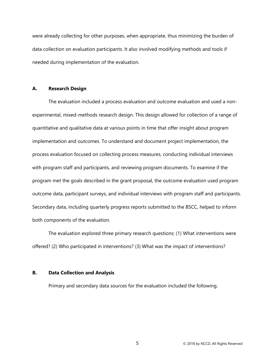were already collecting for other purposes, when appropriate, thus minimizing the burden of data collection on evaluation participants. It also involved modifying methods and tools if needed during implementation of the evaluation.

#### <span id="page-10-0"></span>**A. Research Design**

The evaluation included a process evaluation and outcome evaluation and used a nonexperimental, mixed-methods research design. This design allowed for collection of a range of quantitative and qualitative data at various points in time that offer insight about program implementation and outcomes. To understand and document project implementation, the process evaluation focused on collecting process measures, conducting individual interviews with program staff and participants, and reviewing program documents. To examine if the program met the goals described in the grant proposal, the outcome evaluation used program outcome data, participant surveys, and individual interviews with program staff and participants. Secondary data, including quarterly progress reports submitted to the BSCC, helped to inform both components of the evaluation.

The evaluation explored three primary research questions: (1) What interventions were offered? (2) Who participated in interventions? (3) What was the impact of interventions?

## <span id="page-10-1"></span>**B. Data Collection and Analysis**

Primary and secondary data sources for the evaluation included the following.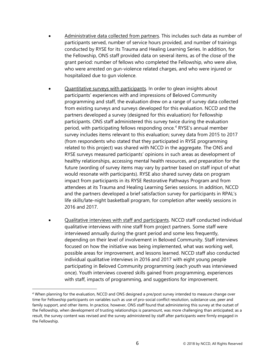- Administrative data collected from partners. This includes such data as number of participants served, number of service hours provided, and number of trainings conducted by RYSE for its Trauma and Healing Learning Series. In addition, for the Fellowship, ONS staff provided data on several items, as of the close of the grant period: number of fellows who completed the Fellowship, who were alive, who were arrested on gun-violence related charges, and who were injured or hospitalized due to gun violence.
- Quantitative surveys with participants. In order to glean insights about participants' experiences with and impressions of Beloved Community programming and staff, the evaluation drew on a range of survey data collected from existing surveys and surveys developed for this evaluation. NCCD and the partners developed a survey (designed for this evaluation) for Fellowship participants. ONS staff administered this survey twice during the evaluation period, with participating fellows responding once.<sup>[4](#page-11-0)</sup> RYSE's annual member survey includes items relevant to this evaluation; survey data from 2015 to 2017 (from respondents who stated that they participated in RYSE programming related to this project) was shared with NCCD in the aggregate. The ONS and RYSE surveys measured participants' opinions in such areas as development of healthy relationships, accessing mental health resources, and preparation for the future (wording of survey items may vary by partner based on staff input of what would resonate with participants). RYSE also shared survey data on program impact from participants in its RYSE Restorative Pathways Program and from attendees at its Trauma and Healing Learning Series sessions. In addition, NCCD and the partners developed a brief satisfaction survey for participants in RPAL's life skills/late-night basketball program, for completion after weekly sessions in 2016 and 2017.
- Qualitative interviews with staff and participants. NCCD staff conducted individual qualitative interviews with nine staff from project partners. Some staff were interviewed annually during the grant period and some less frequently, depending on their level of involvement in Beloved Community. Staff interviews focused on how the initiative was being implemented, what was working well, possible areas for improvement, and lessons learned. NCCD staff also conducted individual qualitative interviews in 2016 and 2017 with eight young people participating in Beloved Community programming (each youth was interviewed once). Youth interviews covered skills gained from programming, experiences with staff, impacts of programming, and suggestions for improvement.

 $\ddot{\phantom{a}}$ 

<span id="page-11-0"></span><sup>4</sup> When planning for the evaluation, NCCD and ONS designed a pre/post survey intended to measure change over time for Fellowship participants on variables such as use of pro-social conflict resolution, substance use, peer and family support, and other items. In practice, however, ONS staff found that administering this survey at the outset of the Fellowship, when development of trusting relationships is paramount, was more challenging than anticipated; as a result, the survey content was revised and the survey administered by staff after participants were firmly engaged in the Fellowship.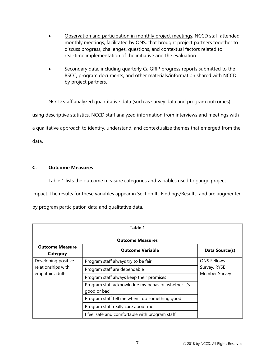- Observation and participation in monthly project meetings. NCCD staff attended monthly meetings, facilitated by ONS, that brought project partners together to discuss progress, challenges, questions, and contextual factors related to real-time implementation of the initiative and the evaluation.
- Secondary data, including quarterly CalGRIP progress reports submitted to the BSCC, program documents, and other materials/information shared with NCCD by project partners.

NCCD staff analyzed quantitative data (such as survey data and program outcomes) using descriptive statistics. NCCD staff analyzed information from interviews and meetings with a qualitative approach to identify, understand, and contextualize themes that emerged from the data.

# <span id="page-12-0"></span>**C. Outcome Measures**

Table 1 lists the outcome measure categories and variables used to gauge project impact. The results for these variables appear in Section III, Findings/Results, and are augmented by program participation data and qualitative data.

| Table 1                            |                                                                    |                    |  |  |  |  |  |  |
|------------------------------------|--------------------------------------------------------------------|--------------------|--|--|--|--|--|--|
|                                    | <b>Outcome Measures</b>                                            |                    |  |  |  |  |  |  |
| <b>Outcome Measure</b><br>Category | <b>Outcome Variable</b>                                            | Data Source(s)     |  |  |  |  |  |  |
| Developing positive                | Program staff always try to be fair                                | <b>ONS Fellows</b> |  |  |  |  |  |  |
| relationships with                 | Program staff are dependable                                       | Survey, RYSE       |  |  |  |  |  |  |
| empathic adults                    | Program staff always keep their promises                           | Member Survey      |  |  |  |  |  |  |
|                                    | Program staff acknowledge my behavior, whether it's<br>good or bad |                    |  |  |  |  |  |  |
|                                    | Program staff tell me when I do something good                     |                    |  |  |  |  |  |  |
|                                    | Program staff really care about me                                 |                    |  |  |  |  |  |  |
|                                    | I feel safe and comfortable with program staff                     |                    |  |  |  |  |  |  |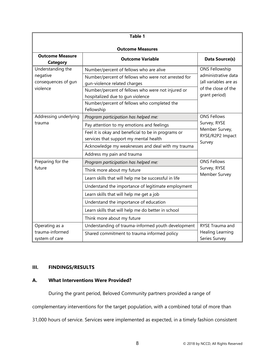| <b>Table 1</b>                                                   |                                                                                                                                                                                                                                                                                                                                                            |                                                                                                               |  |  |  |  |  |
|------------------------------------------------------------------|------------------------------------------------------------------------------------------------------------------------------------------------------------------------------------------------------------------------------------------------------------------------------------------------------------------------------------------------------------|---------------------------------------------------------------------------------------------------------------|--|--|--|--|--|
| <b>Outcome Measures</b>                                          |                                                                                                                                                                                                                                                                                                                                                            |                                                                                                               |  |  |  |  |  |
| <b>Outcome Measure</b><br><b>Category</b>                        | Data Source(s)                                                                                                                                                                                                                                                                                                                                             |                                                                                                               |  |  |  |  |  |
| Understanding the<br>negative<br>consequences of gun<br>violence | Number/percent of fellows who are alive<br>Number/percent of fellows who were not arrested for<br>gun-violence related charges<br>Number/percent of fellows who were not injured or<br>hospitalized due to gun violence<br>Number/percent of fellows who completed the<br>Fellowship                                                                       | <b>ONS Fellowship</b><br>administrative data<br>(all variables are as<br>of the close of the<br>grant period) |  |  |  |  |  |
| Addressing underlying<br>trauma                                  | Program participation has helped me:<br>Pay attention to my emotions and feelings<br>Feel it is okay and beneficial to be in programs or<br>services that support my mental health<br>Acknowledge my weaknesses and deal with my trauma<br>Address my pain and trauma                                                                                      | <b>ONS Fellows</b><br>Survey, RYSE<br>Member Survey,<br>RYSE/R2P2 Impact<br>Survey                            |  |  |  |  |  |
| Preparing for the<br>future                                      | Program participation has helped me:<br>Think more about my future<br>Learn skills that will help me be successful in life<br>Understand the importance of legitimate employment<br>Learn skills that will help me get a job<br>Understand the importance of education<br>Learn skills that will help me do better in school<br>Think more about my future | <b>ONS Fellows</b><br>Survey, RYSE<br>Member Survey                                                           |  |  |  |  |  |
| Operating as a<br>trauma-informed<br>system of care              | Understanding of trauma-informed youth development<br>Shared commitment to trauma informed policy                                                                                                                                                                                                                                                          | RYSE Trauma and<br>Healing Learning<br>Series Survey                                                          |  |  |  |  |  |

# <span id="page-13-0"></span>**III. FINDINGS/RESULTS**

# <span id="page-13-1"></span>**A. What Interventions Were Provided?**

During the grant period, Beloved Community partners provided a range of

complementary interventions for the target population, with a combined total of more than

31,000 hours of service. Services were implemented as expected, in a timely fashion consistent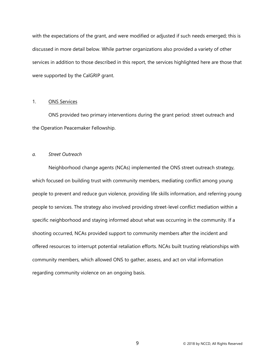with the expectations of the grant, and were modified or adjusted if such needs emerged; this is discussed in more detail below. While partner organizations also provided a variety of other services in addition to those described in this report, the services highlighted here are those that were supported by the CalGRIP grant.

## <span id="page-14-0"></span>1. ONS Services

ONS provided two primary interventions during the grant period: street outreach and the Operation Peacemaker Fellowship.

## <span id="page-14-1"></span>*a. Street Outreach*

Neighborhood change agents (NCAs) implemented the ONS street outreach strategy, which focused on building trust with community members, mediating conflict among young people to prevent and reduce gun violence, providing life skills information, and referring young people to services. The strategy also involved providing street-level conflict mediation within a specific neighborhood and staying informed about what was occurring in the community. If a shooting occurred, NCAs provided support to community members after the incident and offered resources to interrupt potential retaliation efforts. NCAs built trusting relationships with community members, which allowed ONS to gather, assess, and act on vital information regarding community violence on an ongoing basis.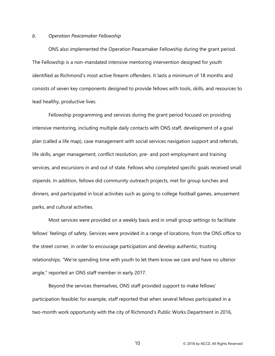#### <span id="page-15-0"></span>*b. Operation Peacemaker Fellowship*

ONS also implemented the Operation Peacemaker Fellowship during the grant period. The Fellowship is a non-mandated intensive mentoring intervention designed for youth identified as Richmond's most active firearm offenders. It lasts a minimum of 18 months and consists of seven key components designed to provide fellows with tools, skills, and resources to lead healthy, productive lives.

Fellowship programming and services during the grant period focused on providing intensive mentoring, including multiple daily contacts with ONS staff, development of a goal plan (called a life map), case management with social services navigation support and referrals, life skills, anger management, conflict resolution, pre- and post-employment and training services, and excursions in and out of state. Fellows who completed specific goals received small stipends. In addition, fellows did community outreach projects, met for group lunches and dinners, and participated in local activities such as going to college football games, amusement parks, and cultural activities.

Most services were provided on a weekly basis and in small group settings to facilitate fellows' feelings of safety. Services were provided in a range of locations, from the ONS office to the street corner, in order to encourage participation and develop authentic, trusting relationships. "We're spending time with youth to let them know we care and have no ulterior angle," reported an ONS staff member in early 2017.

Beyond the services themselves, ONS staff provided support to make fellows' participation feasible; for example, staff reported that when several fellows participated in a two-month work opportunity with the city of Richmond's Public Works Department in 2016,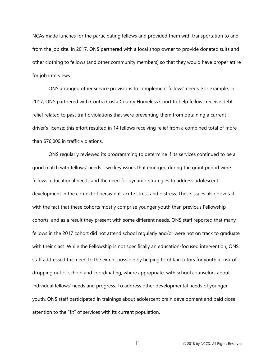NCAs made lunches for the participating fellows and provided them with transportation to and from the job site. In 2017, ONS partnered with a local shop owner to provide donated suits and other clothing to fellows (and other community members) so that they would have proper attire for job interviews.

ONS arranged other service provisions to complement fellows' needs. For example, in 2017, ONS partnered with Contra Costa County Homeless Court to help fellows receive debt relief related to past traffic violations that were preventing them from obtaining a current driver's license; this effort resulted in 14 fellows receiving relief from a combined total of more than \$76,000 in traffic violations.

ONS regularly reviewed its programming to determine if its services continued to be a good match with fellows' needs. Two key issues that emerged during the grant period were fellows' educational needs and the need for dynamic strategies to address adolescent development in the context of persistent, acute stress and distress. These issues also dovetail with the fact that these cohorts mostly comprise younger youth than previous Fellowship cohorts, and as a result they present with some different needs. ONS staff reported that many fellows in the 2017 cohort did not attend school regularly and/or were not on track to graduate with their class. While the Fellowship is not specifically an education-focused intervention, ONS staff addressed this need to the extent possible by helping to obtain tutors for youth at risk of dropping out of school and coordinating, where appropriate, with school counselors about individual fellows' needs and progress. To address other developmental needs of younger youth, ONS staff participated in trainings about adolescent brain development and paid close attention to the "fit" of services with its current population.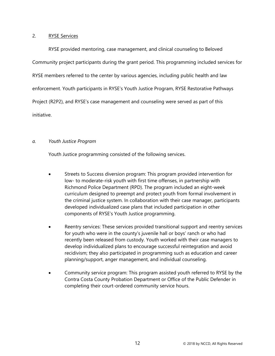# <span id="page-17-0"></span>2. RYSE Services

RYSE provided mentoring, case management, and clinical counseling to Beloved Community project participants during the grant period. This programming included services for RYSE members referred to the center by various agencies, including public health and law enforcement. Youth participants in RYSE's Youth Justice Program, RYSE Restorative Pathways Project (R2P2), and RYSE's case management and counseling were served as part of this initiative.

# <span id="page-17-1"></span>*a. Youth Justice Program*

Youth Justice programming consisted of the following services.

- Streets to Success diversion program: This program provided intervention for low- to moderate-risk youth with first time offenses, in partnership with Richmond Police Department (RPD). The program included an eight-week curriculum designed to preempt and protect youth from formal involvement in the criminal justice system. In collaboration with their case manager, participants developed individualized case plans that included participation in other components of RYSE's Youth Justice programming.
- Reentry services: These services provided transitional support and reentry services for youth who were in the county's juvenile hall or boys' ranch or who had recently been released from custody. Youth worked with their case managers to develop individualized plans to encourage successful reintegration and avoid recidivism; they also participated in programming such as education and career planning/support, anger management, and individual counseling.
- Community service program: This program assisted youth referred to RYSE by the Contra Costa County Probation Department or Office of the Public Defender in completing their court-ordered community service hours.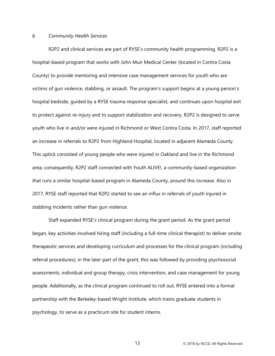#### <span id="page-18-0"></span>*b. Community Health Services*

R2P2 and clinical services are part of RYSE's community health programming. R2P2 is a hospital-based program that works with John Muir Medical Center (located in Contra Costa County) to provide mentoring and intensive case management services for youth who are victims of gun violence, stabbing, or assault. The program's support begins at a young person's hospital bedside, guided by a RYSE trauma response specialist, and continues upon hospital exit to protect against re-injury and to support stabilization and recovery. R2P2 is designed to serve youth who live in and/or were injured in Richmond or West Contra Costa. In 2017, staff reported an increase in referrals to R2P2 from Highland Hospital, located in adjacent Alameda County. This uptick consisted of young people who were injured in Oakland and live in the Richmond area; consequently, R2P2 staff connected with Youth ALIVE!, a community-based organization that runs a similar hospital-based program in Alameda County, around this increase. Also in 2017, RYSE staff reported that R2P2 started to see an influx in referrals of youth injured in stabbing incidents rather than gun violence.

Staff expanded RYSE's clinical program during the grant period. As the grant period began, key activities involved hiring staff (including a full-time clinical therapist) to deliver onsite therapeutic services and developing curriculum and processes for the clinical program (including referral procedures); in the later part of the grant, this was followed by providing psychosocial assessments, individual and group therapy, crisis intervention, and case management for young people. Additionally, as the clinical program continued to roll out, RYSE entered into a formal partnership with the Berkeley-based Wright Institute, which trains graduate students in psychology, to serve as a practicum site for student interns.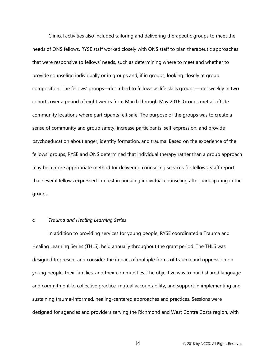Clinical activities also included tailoring and delivering therapeutic groups to meet the needs of ONS fellows. RYSE staff worked closely with ONS staff to plan therapeutic approaches that were responsive to fellows' needs, such as determining where to meet and whether to provide counseling individually or in groups and, if in groups, looking closely at group composition. The fellows' groups—described to fellows as life skills groups—met weekly in two cohorts over a period of eight weeks from March through May 2016. Groups met at offsite community locations where participants felt safe. The purpose of the groups was to create a sense of community and group safety; increase participants' self-expression; and provide psychoeducation about anger, identity formation, and trauma. Based on the experience of the fellows' groups, RYSE and ONS determined that individual therapy rather than a group approach may be a more appropriate method for delivering counseling services for fellows; staff report that several fellows expressed interest in pursuing individual counseling after participating in the groups.

#### <span id="page-19-0"></span>*c. Trauma and Healing Learning Series*

In addition to providing services for young people, RYSE coordinated a Trauma and Healing Learning Series (THLS), held annually throughout the grant period. The THLS was designed to present and consider the impact of multiple forms of trauma and oppression on young people, their families, and their communities. The objective was to build shared language and commitment to collective practice, mutual accountability, and support in implementing and sustaining trauma-informed, healing-centered approaches and practices. Sessions were designed for agencies and providers serving the Richmond and West Contra Costa region, with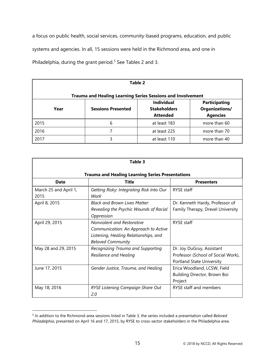a focus on public health, social services, community-based programs, education, and public systems and agencies. In all, 15 sessions were held in the Richmond area, and one in Philadelphia, during the grant period.<sup>[5](#page-20-0)</sup> See Tables 2 and 3.

| Table 2                                                                                                                                                       |                                                                    |              |              |  |  |  |  |  |
|---------------------------------------------------------------------------------------------------------------------------------------------------------------|--------------------------------------------------------------------|--------------|--------------|--|--|--|--|--|
|                                                                                                                                                               | <b>Trauma and Healing Learning Series Sessions and Involvement</b> |              |              |  |  |  |  |  |
| <b>Individual</b><br><b>Participating</b><br>Organizations/<br><b>Sessions Presented</b><br><b>Stakeholders</b><br>Year<br><b>Agencies</b><br><b>Attended</b> |                                                                    |              |              |  |  |  |  |  |
| 2015                                                                                                                                                          | 6                                                                  | at least 183 | more than 60 |  |  |  |  |  |
| 2016                                                                                                                                                          | 7                                                                  | at least 225 | more than 70 |  |  |  |  |  |
| 2017                                                                                                                                                          | 3                                                                  | at least 110 | more than 40 |  |  |  |  |  |

| Table 3                       |                                                                                                                                         |                                                                                              |  |  |  |  |  |  |
|-------------------------------|-----------------------------------------------------------------------------------------------------------------------------------------|----------------------------------------------------------------------------------------------|--|--|--|--|--|--|
|                               | <b>Trauma and Healing Learning Series Presentations</b>                                                                                 |                                                                                              |  |  |  |  |  |  |
| <b>Date</b>                   | Title<br><b>Presenters</b>                                                                                                              |                                                                                              |  |  |  |  |  |  |
| March 25 and April 1,<br>2015 | Getting Risky: Integrating Risk Into Our<br>Work                                                                                        | <b>RYSE</b> staff                                                                            |  |  |  |  |  |  |
| April 8, 2015                 | <b>Black and Brown Lives Matter:</b><br>Revealing the Psychic Wounds of Racial<br>Oppression                                            | Dr. Kenneth Hardy, Professor of<br>Family Therapy, Drexel University                         |  |  |  |  |  |  |
| April 29, 2015                | Nonviolent and Restorative<br>Communication: An Approach to Active<br>Listening, Healing Relationships, and<br><b>Beloved Community</b> | <b>RYSE</b> staff                                                                            |  |  |  |  |  |  |
| May 28 and 29, 2015           | Recognizing Trauma and Supporting<br>Resilience and Healing                                                                             | Dr. Joy DuGruy, Assistant<br>Professor (School of Social Work),<br>Portland State University |  |  |  |  |  |  |
| June 17, 2015                 | Gender Justice, Trauma, and Healing                                                                                                     | Erica Woodland, LCSW, Field<br>Building Director, Brown Boi<br>Project                       |  |  |  |  |  |  |
| May 18, 2016                  | RYSE Listening Campaign Share Out<br>2.0                                                                                                | RYSE staff and members                                                                       |  |  |  |  |  |  |

<span id="page-20-0"></span><sup>5</sup> In addition to the Richmond-area sessions listed in Table 3, the series included a presentation called *Beloved Philadelphia*, presented on April 16 and 17, 2015, by RYSE to cross-sector stakeholders in the Philadelphia area.

 $\overline{a}$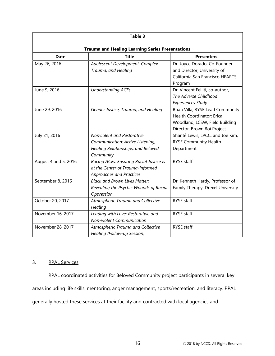| Table 3                                                 |                                         |                                   |  |  |  |  |  |
|---------------------------------------------------------|-----------------------------------------|-----------------------------------|--|--|--|--|--|
| <b>Trauma and Healing Learning Series Presentations</b> |                                         |                                   |  |  |  |  |  |
| <b>Title</b><br><b>Date</b><br><b>Presenters</b>        |                                         |                                   |  |  |  |  |  |
| May 26, 2016                                            | Adolescent Development, Complex         | Dr. Joyce Dorado, Co-Founder      |  |  |  |  |  |
|                                                         | Trauma, and Healing                     | and Director, University of       |  |  |  |  |  |
|                                                         |                                         | California San Francisco HEARTS   |  |  |  |  |  |
|                                                         |                                         | Program                           |  |  |  |  |  |
| June 9, 2016                                            | <b>Understanding ACEs</b>               | Dr. Vincent Felliti, co-author,   |  |  |  |  |  |
|                                                         |                                         | The Adverse Childhood             |  |  |  |  |  |
|                                                         |                                         | <b>Experiences Study</b>          |  |  |  |  |  |
| June 29, 2016                                           | Gender Justice, Trauma, and Healing     | Brian Villa, RYSE Lead Community  |  |  |  |  |  |
|                                                         |                                         | Health Coordinator; Erica         |  |  |  |  |  |
|                                                         |                                         | Woodland, LCSW, Field Building    |  |  |  |  |  |
|                                                         |                                         | Director, Brown Boi Project       |  |  |  |  |  |
| July 21, 2016                                           | Nonviolent and Restorative              | Shanté Lewis, LPCC, and Joe Kim,  |  |  |  |  |  |
|                                                         | Communication: Active Listening,        | <b>RYSE Community Health</b>      |  |  |  |  |  |
|                                                         | Healing Relationships, and Beloved      | Department                        |  |  |  |  |  |
|                                                         | Community                               |                                   |  |  |  |  |  |
| August 4 and 5, 2016                                    | Racing ACEs: Ensuring Racial Justice Is | <b>RYSE</b> staff                 |  |  |  |  |  |
|                                                         | at the Center of Trauma-Informed        |                                   |  |  |  |  |  |
|                                                         | <b>Approaches and Practices</b>         |                                   |  |  |  |  |  |
| September 8, 2016                                       | <b>Black and Brown Lives Matter:</b>    | Dr. Kenneth Hardy, Professor of   |  |  |  |  |  |
|                                                         | Revealing the Psychic Wounds of Racial  | Family Therapy, Drexel University |  |  |  |  |  |
|                                                         | Oppression                              |                                   |  |  |  |  |  |
| October 20, 2017                                        | Atmospheric Trauma and Collective       | RYSE staff                        |  |  |  |  |  |
|                                                         | Healing                                 |                                   |  |  |  |  |  |
| November 16, 2017                                       | Leading with Love: Restorative and      | <b>RYSE</b> staff                 |  |  |  |  |  |
|                                                         | Non-violent Communication               |                                   |  |  |  |  |  |
| November 28, 2017                                       | Atmospheric Trauma and Collective       | RYSE staff                        |  |  |  |  |  |
|                                                         | Healing (Follow-up Session)             |                                   |  |  |  |  |  |

# <span id="page-21-0"></span>3. RPAL Services

RPAL coordinated activities for Beloved Community project participants in several key areas including life skills, mentoring, anger management, sports/recreation, and literacy. RPAL generally hosted these services at their facility and contracted with local agencies and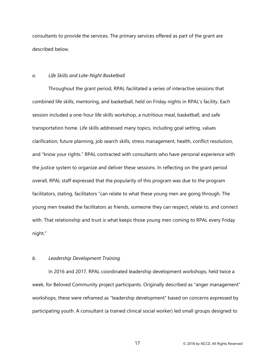consultants to provide the services. The primary services offered as part of the grant are described below.

#### <span id="page-22-0"></span>*a. Life Skills and Late-Night Basketball*

Throughout the grant period, RPAL facilitated a series of interactive sessions that combined life skills, mentoring, and basketball, held on Friday nights in RPAL's facility. Each session included a one-hour life skills workshop, a nutritious meal, basketball, and safe transportation home. Life skills addressed many topics, including goal setting, values clarification, future planning, job search skills, stress management, health, conflict resolution, and "know your rights." RPAL contracted with consultants who have personal experience with the justice system to organize and deliver these sessions. In reflecting on the grant period overall, RPAL staff expressed that the popularity of this program was due to the program facilitators, stating, facilitators "can relate to what these young men are going through. The young men treated the facilitators as friends, someone they can respect, relate to, and connect with. That relationship and trust is what keeps those young men coming to RPAL every Friday night."

## <span id="page-22-1"></span>*b. Leadership Development Training*

In 2016 and 2017, RPAL coordinated leadership development workshops, held twice a week, for Beloved Community project participants. Originally described as "anger management" workshops, these were reframed as "leadership development" based on concerns expressed by participating youth. A consultant (a trained clinical social worker) led small groups designed to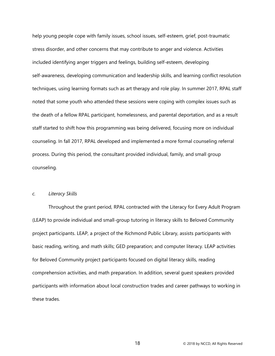help young people cope with family issues, school issues, self-esteem, grief, post-traumatic stress disorder, and other concerns that may contribute to anger and violence. Activities included identifying anger triggers and feelings, building self-esteem, developing self-awareness, developing communication and leadership skills, and learning conflict resolution techniques, using learning formats such as art therapy and role play. In summer 2017, RPAL staff noted that some youth who attended these sessions were coping with complex issues such as the death of a fellow RPAL participant, homelessness, and parental deportation, and as a result staff started to shift how this programming was being delivered, focusing more on individual counseling. In fall 2017, RPAL developed and implemented a more formal counseling referral process. During this period, the consultant provided individual, family, and small group counseling.

## <span id="page-23-0"></span>*c. Literacy Skills*

Throughout the grant period, RPAL contracted with the Literacy for Every Adult Program (LEAP) to provide individual and small-group tutoring in literacy skills to Beloved Community project participants. LEAP, a project of the Richmond Public Library, assists participants with basic reading, writing, and math skills; GED preparation; and computer literacy. LEAP activities for Beloved Community project participants focused on digital literacy skills, reading comprehension activities, and math preparation. In addition, several guest speakers provided participants with information about local construction trades and career pathways to working in these trades.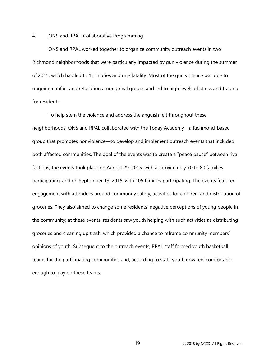#### <span id="page-24-0"></span>4. ONS and RPAL: Collaborative Programming

ONS and RPAL worked together to organize community outreach events in two Richmond neighborhoods that were particularly impacted by gun violence during the summer of 2015, which had led to 11 injuries and one fatality. Most of the gun violence was due to ongoing conflict and retaliation among rival groups and led to high levels of stress and trauma for residents.

To help stem the violence and address the anguish felt throughout these neighborhoods, ONS and RPAL collaborated with the Today Academy—a Richmond-based group that promotes nonviolence—to develop and implement outreach events that included both affected communities. The goal of the events was to create a "peace pause" between rival factions; the events took place on August 29, 2015, with approximately 70 to 80 families participating, and on September 19, 2015, with 105 families participating. The events featured engagement with attendees around community safety, activities for children, and distribution of groceries. They also aimed to change some residents' negative perceptions of young people in the community; at these events, residents saw youth helping with such activities as distributing groceries and cleaning up trash, which provided a chance to reframe community members' opinions of youth. Subsequent to the outreach events, RPAL staff formed youth basketball teams for the participating communities and, according to staff, youth now feel comfortable enough to play on these teams.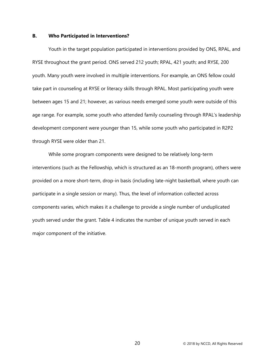#### <span id="page-25-0"></span>**B. Who Participated in Interventions?**

Youth in the target population participated in interventions provided by ONS, RPAL, and RYSE throughout the grant period. ONS served 212 youth; RPAL, 421 youth; and RYSE, 200 youth. Many youth were involved in multiple interventions. For example, an ONS fellow could take part in counseling at RYSE or literacy skills through RPAL. Most participating youth were between ages 15 and 21; however, as various needs emerged some youth were outside of this age range. For example, some youth who attended family counseling through RPAL's leadership development component were younger than 15, while some youth who participated in R2P2 through RYSE were older than 21.

While some program components were designed to be relatively long-term interventions (such as the Fellowship, which is structured as an 18-month program), others were provided on a more short-term, drop-in basis (including late-night basketball, where youth can participate in a single session or many). Thus, the level of information collected across components varies, which makes it a challenge to provide a single number of unduplicated youth served under the grant. Table 4 indicates the number of unique youth served in each major component of the initiative.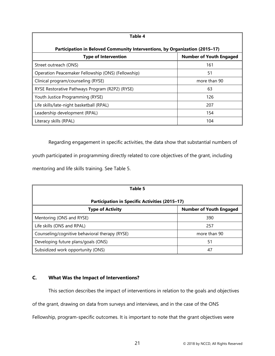| Table 4                                                                     |                                |  |  |  |  |  |
|-----------------------------------------------------------------------------|--------------------------------|--|--|--|--|--|
| Participation in Beloved Community Interventions, by Organization (2015–17) |                                |  |  |  |  |  |
| <b>Type of Intervention</b>                                                 | <b>Number of Youth Engaged</b> |  |  |  |  |  |
| Street outreach (ONS)                                                       | 161                            |  |  |  |  |  |
| Operation Peacemaker Fellowship (ONS) (Fellowship)                          | 51                             |  |  |  |  |  |
| Clinical program/counseling (RYSE)                                          | more than 90                   |  |  |  |  |  |
| RYSE Restorative Pathways Program (R2P2) (RYSE)                             | 63                             |  |  |  |  |  |
| Youth Justice Programming (RYSE)                                            | 126                            |  |  |  |  |  |
| Life skills/late-night basketball (RPAL)                                    | 207                            |  |  |  |  |  |
| Leadership development (RPAL)                                               | 154                            |  |  |  |  |  |
| Literacy skills (RPAL)                                                      | 104                            |  |  |  |  |  |

Regarding engagement in specific activities, the data show that substantial numbers of youth participated in programming directly related to core objectives of the grant, including mentoring and life skills training. See Table 5.

| Table 5                                                   |              |  |  |  |  |  |
|-----------------------------------------------------------|--------------|--|--|--|--|--|
| <b>Participation in Specific Activities (2015-17)</b>     |              |  |  |  |  |  |
| <b>Number of Youth Engaged</b><br><b>Type of Activity</b> |              |  |  |  |  |  |
| Mentoring (ONS and RYSE)                                  | 390          |  |  |  |  |  |
| Life skills (ONS and RPAL)                                | 257          |  |  |  |  |  |
| Counseling/cognitive behavioral therapy (RYSE)            | more than 90 |  |  |  |  |  |
| Developing future plans/goals (ONS)                       | 51           |  |  |  |  |  |
| Subsidized work opportunity (ONS)                         | 47           |  |  |  |  |  |

# <span id="page-26-0"></span>**C. What Was the Impact of Interventions?**

This section describes the impact of interventions in relation to the goals and objectives of the grant, drawing on data from surveys and interviews, and in the case of the ONS Fellowship, program-specific outcomes. It is important to note that the grant objectives were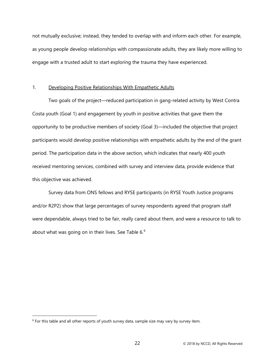not mutually exclusive; instead, they tended to overlap with and inform each other. For example, as young people develop relationships with compassionate adults, they are likely more willing to engage with a trusted adult to start exploring the trauma they have experienced.

#### <span id="page-27-0"></span>1. Developing Positive Relationships With Empathetic Adults

Two goals of the project—reduced participation in gang-related activity by West Contra Costa youth (Goal 1) and engagement by youth in positive activities that gave them the opportunity to be productive members of society (Goal 3)—included the objective that project participants would develop positive relationships with empathetic adults by the end of the grant period. The participation data in the above section, which indicates that nearly 400 youth received mentoring services, combined with survey and interview data, provide evidence that this objective was achieved.

Survey data from ONS fellows and RYSE participants (in RYSE Youth Justice programs and/or R2P2) show that large percentages of survey respondents agreed that program staff were dependable, always tried to be fair, really cared about them, and were a resource to talk to about what was going on in their lives. See Table [6](#page-27-1). $^6$ 

 $\overline{a}$ 

<span id="page-27-1"></span> $6$  For this table and all other reports of youth survey data, sample size may vary by survey item.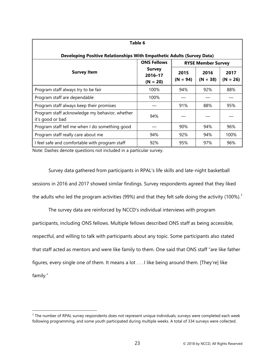| Table 6                                                                |                                        |                    |                    |                    |  |  |  |
|------------------------------------------------------------------------|----------------------------------------|--------------------|--------------------|--------------------|--|--|--|
| Developing Positive Relationships With Empathetic Adults (Survey Data) |                                        |                    |                    |                    |  |  |  |
| <b>ONS Fellows</b><br><b>RYSE Member Survey</b>                        |                                        |                    |                    |                    |  |  |  |
| <b>Survey Item</b>                                                     | <b>Survey</b><br>2016-17<br>$(N = 20)$ | 2015<br>$(N = 94)$ | 2016<br>$(N = 38)$ | 2017<br>$(N = 26)$ |  |  |  |
| Program staff always try to be fair                                    | 100%                                   | 94%                | 92%                | 88%                |  |  |  |
| Program staff are dependable                                           | 100%                                   |                    |                    |                    |  |  |  |
| Program staff always keep their promises                               |                                        | 91%                | 88%                | 95%                |  |  |  |
| Program staff acknowledge my behavior, whether<br>it's good or bad     | 94%                                    |                    |                    |                    |  |  |  |
| Program staff tell me when I do something good                         |                                        | 90%                | 94%                | 96%                |  |  |  |
| Program staff really care about me                                     | 94%                                    | 92%                | 94%                | 100%               |  |  |  |
| I feel safe and comfortable with program staff                         | 92%                                    | 95%                | 97%                | 96%                |  |  |  |

Note: Dashes denote questions not included in a particular survey.

 $\overline{a}$ 

Survey data gathered from participants in RPAL's life skills and late-night basketball sessions in 2016 and 2017 showed similar findings. Survey respondents agreed that they liked the adults who led the program activities (99%) and that they felt safe doing the activity (100%).<sup>[7](#page-28-0)</sup>

The survey data are reinforced by NCCD's individual interviews with program participants, including ONS fellows. Multiple fellows described ONS staff as being accessible, respectful, and willing to talk with participants about any topic. Some participants also stated that staff acted as mentors and were like family to them. One said that ONS staff "are like father figures, every single one of them. It means a lot . . . I like being around them. [They're] like family."

<span id="page-28-0"></span><sup>&</sup>lt;sup>7</sup> The number of RPAL survey respondents does not represent unique individuals; surveys were completed each week following programming, and some youth participated during multiple weeks. A total of 334 surveys were collected.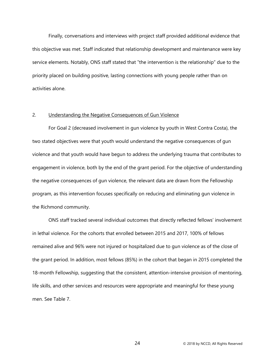Finally, conversations and interviews with project staff provided additional evidence that this objective was met. Staff indicated that relationship development and maintenance were key service elements. Notably, ONS staff stated that "the intervention is the relationship" due to the priority placed on building positive, lasting connections with young people rather than on activities alone.

#### <span id="page-29-0"></span>2. Understanding the Negative Consequences of Gun Violence

For Goal 2 (decreased involvement in gun violence by youth in West Contra Costa), the two stated objectives were that youth would understand the negative consequences of gun violence and that youth would have begun to address the underlying trauma that contributes to engagement in violence, both by the end of the grant period. For the objective of understanding the negative consequences of gun violence, the relevant data are drawn from the Fellowship program, as this intervention focuses specifically on reducing and eliminating gun violence in the Richmond community.

ONS staff tracked several individual outcomes that directly reflected fellows' involvement in lethal violence. For the cohorts that enrolled between 2015 and 2017, 100% of fellows remained alive and 96% were not injured or hospitalized due to gun violence as of the close of the grant period. In addition, most fellows (85%) in the cohort that began in 2015 completed the 18-month Fellowship, suggesting that the consistent, attention-intensive provision of mentoring, life skills, and other services and resources were appropriate and meaningful for these young men. See Table 7.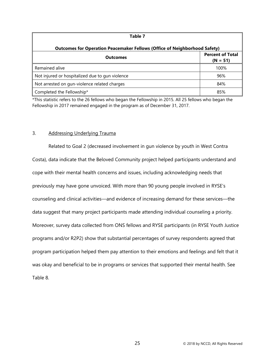| Table 7                                                                          |      |  |  |  |  |
|----------------------------------------------------------------------------------|------|--|--|--|--|
| <b>Outcomes for Operation Peacemaker Fellows (Office of Neighborhood Safety)</b> |      |  |  |  |  |
| <b>Percent of Total</b><br><b>Outcomes</b><br>$(N = 51)$                         |      |  |  |  |  |
| Remained alive                                                                   | 100% |  |  |  |  |
| Not injured or hospitalized due to gun violence                                  | 96%  |  |  |  |  |
| Not arrested on gun-violence related charges                                     | 84%  |  |  |  |  |
| Completed the Fellowship*                                                        | 85%  |  |  |  |  |

\*This statistic refers to the 26 fellows who began the Fellowship in 2015. All 25 fellows who began the Fellowship in 2017 remained engaged in the program as of December 31, 2017.

#### <span id="page-30-0"></span>3. Addressing Underlying Trauma

Related to Goal 2 (decreased involvement in gun violence by youth in West Contra Costa), data indicate that the Beloved Community project helped participants understand and cope with their mental health concerns and issues, including acknowledging needs that previously may have gone unvoiced. With more than 90 young people involved in RYSE's counseling and clinical activities—and evidence of increasing demand for these services—the data suggest that many project participants made attending individual counseling a priority. Moreover, survey data collected from ONS fellows and RYSE participants (in RYSE Youth Justice programs and/or R2P2) show that substantial percentages of survey respondents agreed that program participation helped them pay attention to their emotions and feelings and felt that it was okay and beneficial to be in programs or services that supported their mental health. See Table 8.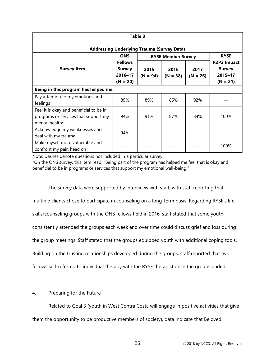| Table 8                                                                                           |                                                   |                           |                    |                    |                                                              |  |  |  |
|---------------------------------------------------------------------------------------------------|---------------------------------------------------|---------------------------|--------------------|--------------------|--------------------------------------------------------------|--|--|--|
| <b>Addressing Underlying Trauma (Survey Data)</b>                                                 |                                                   |                           |                    |                    |                                                              |  |  |  |
|                                                                                                   | <b>ONS</b>                                        | <b>RYSE Member Survey</b> | <b>RYSE</b>        |                    |                                                              |  |  |  |
| <b>Survey Item</b>                                                                                | <b>Fellows</b><br>Survey<br>2016-17<br>$(N = 20)$ | 2015<br>$(N = 94)$        | 2016<br>$(N = 38)$ | 2017<br>$(N = 26)$ | <b>R2P2 Impact</b><br><b>Survey</b><br>2015-17<br>$(N = 21)$ |  |  |  |
| Being in this program has helped me:                                                              |                                                   |                           |                    |                    |                                                              |  |  |  |
| Pay attention to my emotions and<br>feelings                                                      | 89%                                               | 89%                       | 85%                | 92%                |                                                              |  |  |  |
| Feel it is okay and beneficial to be in<br>programs or services that support my<br>mental health* | 94%                                               | 91%                       | 87%                | 84%                | 100%                                                         |  |  |  |
| Acknowledge my weaknesses and<br>deal with my trauma                                              | 94%                                               |                           |                    |                    |                                                              |  |  |  |
| Make myself more vulnerable and<br>confront my pain head on                                       |                                                   |                           |                    |                    | 100%                                                         |  |  |  |

Note: Dashes denote questions not included in a particular survey.

\*On the ONS survey, this item read: "Being part of the program has helped me feel that is okay and beneficial to be in programs or services that support my emotional well-being."

The survey data were supported by interviews with staff, with staff reporting that multiple clients chose to participate in counseling on a long-term basis. Regarding RYSE's life skills/counseling groups with the ONS fellows held in 2016, staff stated that some youth consistently attended the groups each week and over time could discuss grief and loss during the group meetings. Staff stated that the groups equipped youth with additional coping tools. Building on the trusting relationships developed during the groups, staff reported that two fellows self-referred to individual therapy with the RYSE therapist once the groups ended.

# <span id="page-31-0"></span>4. Preparing for the Future

Related to Goal 3 (youth in West Contra Costa will engage in positive activities that give them the opportunity to be productive members of society), data indicate that Beloved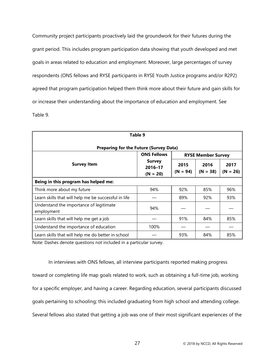Community project participants proactively laid the groundwork for their futures during the grant period. This includes program participation data showing that youth developed and met goals in areas related to education and employment. Moreover, large percentages of survey respondents (ONS fellows and RYSE participants in RYSE Youth Justice programs and/or R2P2) agreed that program participation helped them think more about their future and gain skills for or increase their understanding about the importance of education and employment. See Table 9.

| Table 9                                               |                                        |                    |                    |                    |  |  |
|-------------------------------------------------------|----------------------------------------|--------------------|--------------------|--------------------|--|--|
| <b>Preparing for the Future (Survey Data)</b>         |                                        |                    |                    |                    |  |  |
| <b>ONS Fellows</b><br><b>RYSE Member Survey</b>       |                                        |                    |                    |                    |  |  |
| <b>Survey Item</b>                                    | <b>Survey</b><br>2016-17<br>$(N = 20)$ | 2015<br>$(N = 94)$ | 2016<br>$(N = 38)$ | 2017<br>$(N = 26)$ |  |  |
| Being in this program has helped me:                  |                                        |                    |                    |                    |  |  |
| Think more about my future                            | 94%                                    | 92%                | 85%                | 96%                |  |  |
| Learn skills that will help me be successful in life  |                                        | 89%                | 92%                | 93%                |  |  |
| Understand the importance of legitimate<br>employment | 94%                                    |                    |                    |                    |  |  |
| Learn skills that will help me get a job              |                                        | 91%                | 84%                | 85%                |  |  |
| Understand the importance of education                | 100%                                   |                    |                    |                    |  |  |
| Learn skills that will help me do better in school    |                                        | 93%                | 84%                | 85%                |  |  |

Note: Dashes denote questions not included in a particular survey.

In interviews with ONS fellows, all interview participants reported making progress toward or completing life map goals related to work, such as obtaining a full-time job, working for a specific employer, and having a career. Regarding education, several participants discussed goals pertaining to schooling; this included graduating from high school and attending college. Several fellows also stated that getting a job was one of their most significant experiences of the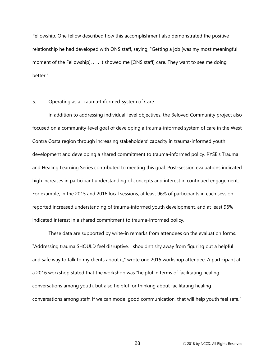Fellowship. One fellow described how this accomplishment also demonstrated the positive relationship he had developed with ONS staff, saying, "Getting a job [was my most meaningful moment of the Fellowship]. . . . It showed me [ONS staff] care. They want to see me doing better."

# <span id="page-33-0"></span>5. Operating as a Trauma-Informed System of Care

In addition to addressing individual-level objectives, the Beloved Community project also focused on a community-level goal of developing a trauma-informed system of care in the West Contra Costa region through increasing stakeholders' capacity in trauma-informed youth development and developing a shared commitment to trauma-informed policy. RYSE's Trauma and Healing Learning Series contributed to meeting this goal. Post-session evaluations indicated high increases in participant understanding of concepts and interest in continued engagement. For example, in the 2015 and 2016 local sessions, at least 96% of participants in each session reported increased understanding of trauma-informed youth development, and at least 96% indicated interest in a shared commitment to trauma-informed policy.

These data are supported by write-in remarks from attendees on the evaluation forms. "Addressing trauma SHOULD feel disruptive. I shouldn't shy away from figuring out a helpful and safe way to talk to my clients about it," wrote one 2015 workshop attendee. A participant at a 2016 workshop stated that the workshop was "helpful in terms of facilitating healing conversations among youth, but also helpful for thinking about facilitating healing conversations among staff. If we can model good communication, that will help youth feel safe."

28 © 2018 by NCCD, All Rights Reserved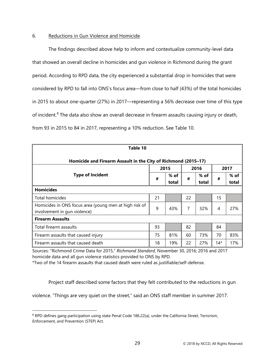# <span id="page-34-0"></span>6. Reductions in Gun Violence and Homicide

The findings described above help to inform and contextualize community-level data that showed an overall decline in homicides and gun violence in Richmond during the grant period. According to RPD data, the city experienced a substantial drop in homicides that were considered by RPD to fall into ONS's focus area—from close to half (43%) of the total homicides in 2015 to about one-quarter (27%) in 2017—representing a 56% decrease over time of this type of incident.<sup>[8](#page-34-1)</sup> The data also show an overall decrease in firearm assaults causing injury or death, from 93 in 2015 to 84 in 2017, representing a 10% reduction. See Table 10.

| Table 10                                                       |    |       |    |       |     |        |  |  |  |  |
|----------------------------------------------------------------|----|-------|----|-------|-----|--------|--|--|--|--|
| Homicide and Firearm Assault in the City of Richmond (2015-17) |    |       |    |       |     |        |  |  |  |  |
| <b>Type of Incident</b>                                        |    | 2015  |    | 2016  |     | 2017   |  |  |  |  |
|                                                                |    | % of  | #  | % of  | #   | $%$ of |  |  |  |  |
|                                                                | #  | total |    | total |     | total  |  |  |  |  |
| <b>Homicides</b>                                               |    |       |    |       |     |        |  |  |  |  |
| Total homicides                                                | 21 |       | 22 |       | 15  |        |  |  |  |  |
| Homicides in ONS focus area (young men at high risk of<br>9    |    | 43%   | 7  | 32%   | 4   | 27%    |  |  |  |  |
| involvement in gun violence)                                   |    |       |    |       |     |        |  |  |  |  |
| <b>Firearm Assaults</b>                                        |    |       |    |       |     |        |  |  |  |  |
| Total firearm assaults                                         |    |       | 82 |       | 84  |        |  |  |  |  |
| Firearm assaults that caused injury                            | 75 | 81%   | 60 | 73%   | 70  | 83%    |  |  |  |  |
| Firearm assaults that caused death                             |    | 19%   | 22 | 27%   | 14* | 17%    |  |  |  |  |

Sources: "Richmond Crime Data for 2015," *Richmond Standard*, November 30, 2016; 2016 and 2017 homicide data and all gun violence statistics provided to ONS by RPD.

\*Two of the 14 firearm assaults that caused death were ruled as justifiable/self-defense.

Project staff described some factors that they felt contributed to the reductions in gun

violence. "Things are very quiet on the street," said an ONS staff member in summer 2017.

 $\overline{a}$ 

<span id="page-34-1"></span><sup>&</sup>lt;sup>8</sup> RPD defines gang participation using state Penal Code 186.22(a), under the California Street, Terrorism, Enforcement, and Prevention (STEP) Act.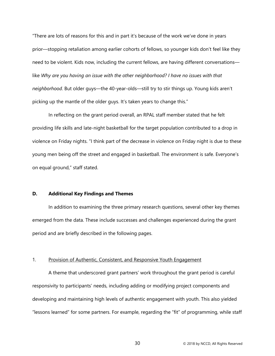"There are lots of reasons for this and in part it's because of the work we've done in years prior—stopping retaliation among earlier cohorts of fellows, so younger kids don't feel like they need to be violent. Kids now, including the current fellows, are having different conversations like *Why are you having an issue with the other neighborhood? I have no issues with that neighborhood*. But older guys—the 40-year-olds—still try to stir things up. Young kids aren't picking up the mantle of the older guys. It's taken years to change this."

In reflecting on the grant period overall, an RPAL staff member stated that he felt providing life skills and late-night basketball for the target population contributed to a drop in violence on Friday nights. "I think part of the decrease in violence on Friday night is due to these young men being off the street and engaged in basketball. The environment is safe. Everyone's on equal ground," staff stated.

#### <span id="page-35-0"></span>**D. Additional Key Findings and Themes**

In addition to examining the three primary research questions, several other key themes emerged from the data. These include successes and challenges experienced during the grant period and are briefly described in the following pages.

#### <span id="page-35-1"></span>1. Provision of Authentic, Consistent, and Responsive Youth Engagement

A theme that underscored grant partners' work throughout the grant period is careful responsivity to participants' needs, including adding or modifying project components and developing and maintaining high levels of authentic engagement with youth. This also yielded "lessons learned" for some partners. For example, regarding the "fit" of programming, while staff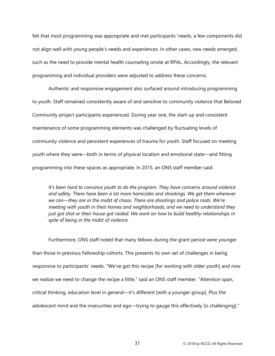felt that most programming was appropriate and met participants' needs, a few components did not align well with young people's needs and experiences. In other cases, new needs emerged, such as the need to provide mental health counseling onsite at RPAL. Accordingly, the relevant programming and individual providers were adjusted to address these concerns.

Authentic and responsive engagement also surfaced around introducing programming to youth. Staff remained consistently aware of and sensitive to community violence that Beloved Community project participants experienced. During year one, the start-up and consistent maintenance of some programming elements was challenged by fluctuating levels of community violence and persistent experiences of trauma for youth. Staff focused on meeting youth where they were—both in terms of physical location and emotional state—and fitting programming into these spaces as appropriate. In 2015, an ONS staff member said:

*It's been hard to convince youth to do the program. They have concerns around violence and safety. There have been a lot more homicides and shootings. We get them wherever we can—they are in the midst of chaos. There are shootings and police raids. We're meeting with youth in their homes and neighborhoods, and we need to understand they just got shot or their house got raided. We work on how to build healthy relationships in spite of being in the midst of violence.*

Furthermore, ONS staff noted that many fellows during the grant period were younger than those in previous Fellowship cohorts. This presents its own set of challenges in being responsive to participants' needs. "We've got this recipe [for working with older youth] and now we realize we need to change the recipe a little," said an ONS staff member. "Attention span, critical thinking, education level in general—it's different [with a younger group]. Plus the adolescent mind and the insecurities and ego—trying to gauge this effectively [is challenging]."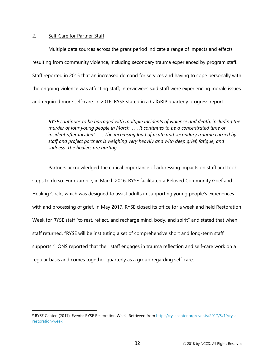## <span id="page-37-0"></span>2. Self-Care for Partner Staff

<span id="page-37-1"></span> $\overline{a}$ 

Multiple data sources across the grant period indicate a range of impacts and effects resulting from community violence, including secondary trauma experienced by program staff. Staff reported in 2015 that an increased demand for services and having to cope personally with the ongoing violence was affecting staff; interviewees said staff were experiencing morale issues and required more self-care. In 2016, RYSE stated in a CalGRIP quarterly progress report:

*RYSE continues to be barraged with multiple incidents of violence and death, including the murder of four young people in March. . . . It continues to be a concentrated time of incident after incident. . . . The increasing load of acute and secondary trauma carried by staff and project partners is weighing very heavily and with deep grief, fatigue, and sadness. The healers are hurting.*

Partners acknowledged the critical importance of addressing impacts on staff and took steps to do so. For example, in March 2016, RYSE facilitated a Beloved Community Grief and Healing Circle, which was designed to assist adults in supporting young people's experiences with and processing of grief. In May 2017, RYSE closed its office for a week and held Restoration Week for RYSE staff "to rest, reflect, and recharge mind, body, and spirit" and stated that when staff returned, "RYSE will be instituting a set of comprehensive short and long-term staff supports."<sup>[9](#page-37-2)</sup> ONS reported that their staff engages in trauma reflection and self-care work on a regular basis and comes together quarterly as a group regarding self-care.

<span id="page-37-2"></span><sup>9</sup> RYSE Center. (2017). Events: RYSE Restoration Week. Retrieved from [https://rysecenter.org/events/2017/5/19/ryse](https://rysecenter.org/events/2017/5/19/ryse-restoration-week)[restoration-week](https://rysecenter.org/events/2017/5/19/ryse-restoration-week)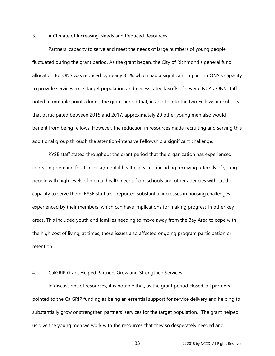#### 3. A Climate of Increasing Needs and Reduced Resources

Partners' capacity to serve and meet the needs of large numbers of young people fluctuated during the grant period. As the grant began, the City of Richmond's general fund allocation for ONS was reduced by nearly 35%, which had a significant impact on ONS's capacity to provide services to its target population and necessitated layoffs of several NCAs. ONS staff noted at multiple points during the grant period that, in addition to the two Fellowship cohorts that participated between 2015 and 2017, approximately 20 other young men also would benefit from being fellows. However, the reduction in resources made recruiting and serving this additional group through the attention-intensive Fellowship a significant challenge.

RYSE staff stated throughout the grant period that the organization has experienced increasing demand for its clinical/mental health services, including receiving referrals of young people with high levels of mental health needs from schools and other agencies without the capacity to serve them. RYSE staff also reported substantial increases in housing challenges experienced by their members, which can have implications for making progress in other key areas. This included youth and families needing to move away from the Bay Area to cope with the high cost of living; at times, these issues also affected ongoing program participation or retention.

#### <span id="page-38-0"></span>4. CalGRIP Grant Helped Partners Grow and Strengthen Services

In discussions of resources, it is notable that, as the grant period closed, all partners pointed to the CalGRIP funding as being an essential support for service delivery and helping to substantially grow or strengthen partners' services for the target population. "The grant helped us give the young men we work with the resources that they so desperately needed and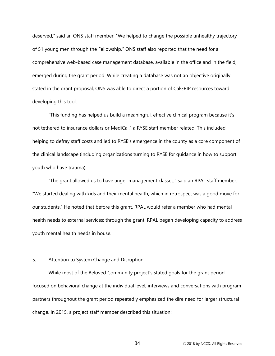deserved," said an ONS staff member. "We helped to change the possible unhealthy trajectory of 51 young men through the Fellowship." ONS staff also reported that the need for a comprehensive web-based case management database, available in the office and in the field, emerged during the grant period. While creating a database was not an objective originally stated in the grant proposal, ONS was able to direct a portion of CalGRIP resources toward developing this tool.

"This funding has helped us build a meaningful, effective clinical program because it's not tethered to insurance dollars or MediCal," a RYSE staff member related. This included helping to defray staff costs and led to RYSE's emergence in the county as a core component of the clinical landscape (including organizations turning to RYSE for guidance in how to support youth who have trauma).

"The grant allowed us to have anger management classes," said an RPAL staff member. "We started dealing with kids and their mental health, which in retrospect was a good move for our students." He noted that before this grant, RPAL would refer a member who had mental health needs to external services; through the grant, RPAL began developing capacity to address youth mental health needs in house.

## <span id="page-39-0"></span>5. Attention to System Change and Disruption

While most of the Beloved Community project's stated goals for the grant period focused on behavioral change at the individual level, interviews and conversations with program partners throughout the grant period repeatedly emphasized the dire need for larger structural change. In 2015, a project staff member described this situation: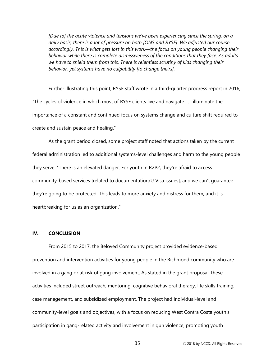*[Due to] the acute violence and tensions we've been experiencing since the spring, on a daily basis, there is a lot of pressure on both [ONS and RYSE]. We adjusted our course accordingly. This is what gets lost in this work—the focus on young people changing their behavior while there is complete dismissiveness of the conditions that they face. As adults we have to shield them from this. There is relentless scrutiny of kids changing their behavior, yet systems have no culpability [to change theirs].*

Further illustrating this point, RYSE staff wrote in a third-quarter progress report in 2016, "The cycles of violence in which most of RYSE clients live and navigate . . . illuminate the importance of a constant and continued focus on systems change and culture shift required to create and sustain peace and healing."

As the grant period closed, some project staff noted that actions taken by the current federal administration led to additional systems-level challenges and harm to the young people they serve. "There is an elevated danger. For youth in R2P2, they're afraid to access community-based services [related to documentation/U Visa issues], and we can't guarantee they're going to be protected. This leads to more anxiety and distress for them, and it is heartbreaking for us as an organization."

## <span id="page-40-0"></span>**IV. CONCLUSION**

From 2015 to 2017, the Beloved Community project provided evidence-based prevention and intervention activities for young people in the Richmond community who are involved in a gang or at risk of gang involvement. As stated in the grant proposal, these activities included street outreach, mentoring, cognitive behavioral therapy, life skills training, case management, and subsidized employment. The project had individual-level and community-level goals and objectives, with a focus on reducing West Contra Costa youth's participation in gang-related activity and involvement in gun violence, promoting youth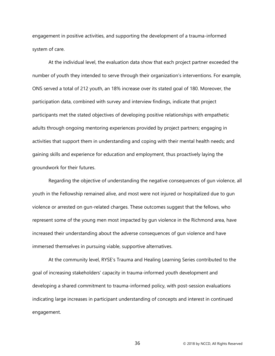engagement in positive activities, and supporting the development of a trauma-informed system of care.

At the individual level, the evaluation data show that each project partner exceeded the number of youth they intended to serve through their organization's interventions. For example, ONS served a total of 212 youth, an 18% increase over its stated goal of 180. Moreover, the participation data, combined with survey and interview findings, indicate that project participants met the stated objectives of developing positive relationships with empathetic adults through ongoing mentoring experiences provided by project partners; engaging in activities that support them in understanding and coping with their mental health needs; and gaining skills and experience for education and employment, thus proactively laying the groundwork for their futures.

Regarding the objective of understanding the negative consequences of gun violence, all youth in the Fellowship remained alive, and most were not injured or hospitalized due to gun violence or arrested on gun-related charges. These outcomes suggest that the fellows, who represent some of the young men most impacted by gun violence in the Richmond area, have increased their understanding about the adverse consequences of gun violence and have immersed themselves in pursuing viable, supportive alternatives.

At the community level, RYSE's Trauma and Healing Learning Series contributed to the goal of increasing stakeholders' capacity in trauma-informed youth development and developing a shared commitment to trauma-informed policy, with post-session evaluations indicating large increases in participant understanding of concepts and interest in continued engagement.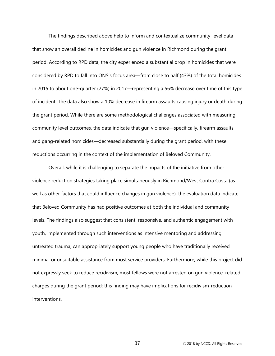The findings described above help to inform and contextualize community-level data that show an overall decline in homicides and gun violence in Richmond during the grant period. According to RPD data, the city experienced a substantial drop in homicides that were considered by RPD to fall into ONS's focus area—from close to half (43%) of the total homicides in 2015 to about one-quarter (27%) in 2017—representing a 56% decrease over time of this type of incident. The data also show a 10% decrease in firearm assaults causing injury or death during the grant period. While there are some methodological challenges associated with measuring community level outcomes, the data indicate that gun violence—specifically, firearm assaults and gang-related homicides—decreased substantially during the grant period, with these reductions occurring in the context of the implementation of Beloved Community.

Overall, while it is challenging to separate the impacts of the initiative from other violence reduction strategies taking place simultaneously in Richmond/West Contra Costa (as well as other factors that could influence changes in gun violence), the evaluation data indicate that Beloved Community has had positive outcomes at both the individual and community levels. The findings also suggest that consistent, responsive, and authentic engagement with youth, implemented through such interventions as intensive mentoring and addressing untreated trauma, can appropriately support young people who have traditionally received minimal or unsuitable assistance from most service providers. Furthermore, while this project did not expressly seek to reduce recidivism, most fellows were not arrested on gun violence–related charges during the grant period; this finding may have implications for recidivism-reduction interventions.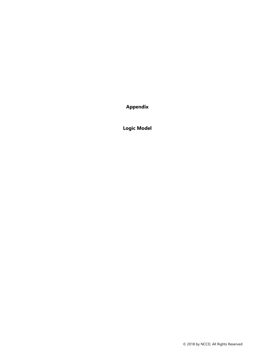**Appendix**

**Logic Model**